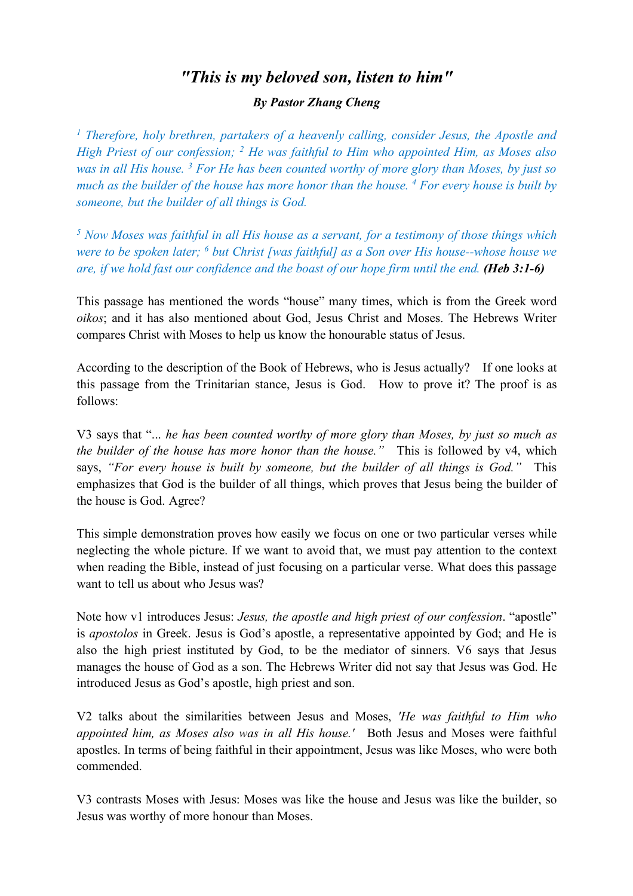## *"This is my beloved son, listen to him"*

## *By Pastor Zhang Cheng*

*<sup>1</sup> Therefore, holy brethren, partakers of a heavenly calling, consider Jesus, the Apostle and High Priest of our confession; 2 He was faithful to Him who appointed Him, as Moses also was in all His house. 3 For He has been counted worthy of more glory than Moses, by just so much as the builder of the house has more honor than the house. 4 For every house is built by someone, but the builder of all things is God.*

*<sup>5</sup> Now Moses was faithful in all His house as a servant, for a testimony of those things which were to be spoken later; 6 but Christ [was faithful] as a Son over His house--whose house we are, if we hold fast our confidence and the boast of our hope firm until the end. (Heb 3:1-6)*

This passage has mentioned the words "house" many times, which is from the Greek word *oikos*; and it has also mentioned about God, Jesus Christ and Moses. The Hebrews Writer compares Christ with Moses to help us know the honourable status of Jesus.

According to the description of the Book of Hebrews, who is Jesus actually? If one looks at this passage from the Trinitarian stance, Jesus is God. How to prove it? The proof is as follows:

V3 says that "... *he has been counted worthy of more glory than Moses, by just so much as the builder of the house has more honor than the house.*" This is followed by v4, which says, *"For every house is built by someone, but the builder of all things is God."* This emphasizes that God is the builder of all things, which proves that Jesus being the builder of the house is God. Agree?

This simple demonstration proves how easily we focus on one or two particular verses while neglecting the whole picture. If we want to avoid that, we must pay attention to the context when reading the Bible, instead of just focusing on a particular verse. What does this passage want to tell us about who Jesus was?

Note how v1 introduces Jesus: *Jesus, the apostle and high priest of our confession*. "apostle" is *apostolos* in Greek. Jesus is God's apostle, a representative appointed by God; and He is also the high priest instituted by God, to be the mediator of sinners. V6 says that Jesus manages the house of God as a son. The Hebrews Writer did not say that Jesus was God. He introduced Jesus as God's apostle, high priest and son.

V2 talks about the similarities between Jesus and Moses, *'He was faithful to Him who appointed him, as Moses also was in all His house.'* Both Jesus and Moses were faithful apostles. In terms of being faithful in their appointment, Jesus was like Moses, who were both commended.

V3 contrasts Moses with Jesus: Moses was like the house and Jesus was like the builder, so Jesus was worthy of more honour than Moses.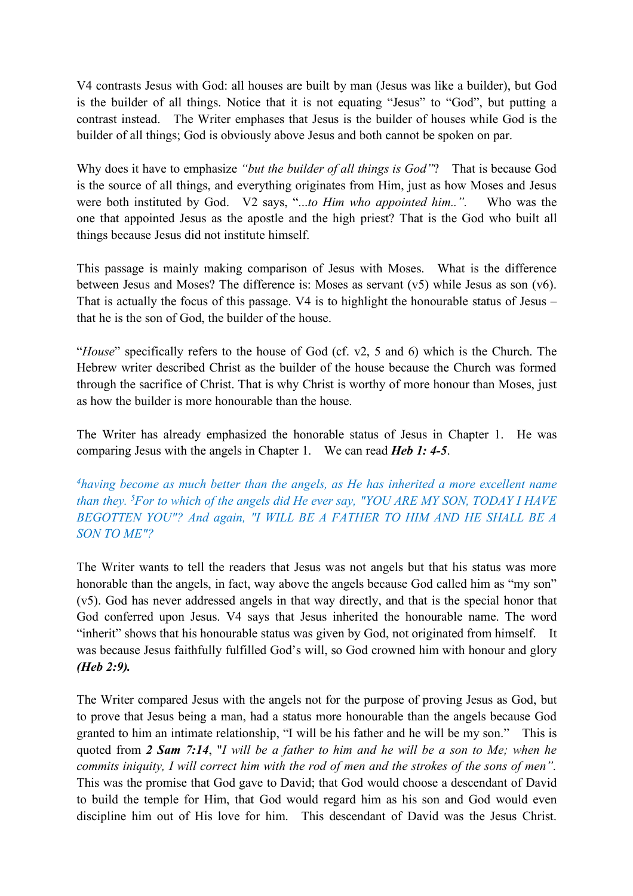V4 contrasts Jesus with God: all houses are built by man (Jesus was like a builder), but God is the builder of all things. Notice that it is not equating "Jesus" to "God", but putting a contrast instead. The Writer emphases that Jesus is the builder of houses while God is the builder of all things; God is obviously above Jesus and both cannot be spoken on par.

Why does it have to emphasize *"but the builder of all things is God"*? That is because God is the source of all things, and everything originates from Him, just as how Moses and Jesus were both instituted by God. V2 says, "...*to Him who appointed him..".* Who was the one that appointed Jesus as the apostle and the high priest? That is the God who built all things because Jesus did not institute himself.

This passage is mainly making comparison of Jesus with Moses. What is the difference between Jesus and Moses? The difference is: Moses as servant (v5) while Jesus as son (v6). That is actually the focus of this passage. V4 is to highlight the honourable status of Jesus – that he is the son of God, the builder of the house.

"*House*" specifically refers to the house of God (cf. v2, 5 and 6) which is the Church. The Hebrew writer described Christ as the builder of the house because the Church was formed through the sacrifice of Christ. That is why Christ is worthy of more honour than Moses, just as how the builder is more honourable than the house.

The Writer has already emphasized the honorable status of Jesus in Chapter 1. He was comparing Jesus with the angels in Chapter 1. We can read *Heb 1: 4-5*.

*4having become as much better than the angels, as He has inherited a more excellent name than they. 5 For to which of the angels did He ever say, "YOU ARE MY SON, TODAY I HAVE BEGOTTEN YOU"? And again, "I WILL BE A FATHER TO HIM AND HE SHALL BE A SON TO ME"?*

The Writer wants to tell the readers that Jesus was not angels but that his status was more honorable than the angels, in fact, way above the angels because God called him as "my son" (v5). God has never addressed angels in that way directly, and that is the special honor that God conferred upon Jesus. V4 says that Jesus inherited the honourable name. The word "inherit" shows that his honourable status was given by God, not originated from himself. It was because Jesus faithfully fulfilled God's will, so God crowned him with honour and glory *(Heb 2:9).*

The Writer compared Jesus with the angels not for the purpose of proving Jesus as God, but to prove that Jesus being a man, had a status more honourable than the angels because God granted to him an intimate relationship, "I will be his father and he will be my son." This is quoted from *2 Sam 7:14*, "*I will be a father to him and he will be a son to Me; when he commits iniquity, I will correct him with the rod of men and the strokes of the sons of men".*  This was the promise that God gave to David; that God would choose a descendant of David to build the temple for Him, that God would regard him as his son and God would even discipline him out of His love for him. This descendant of David was the Jesus Christ.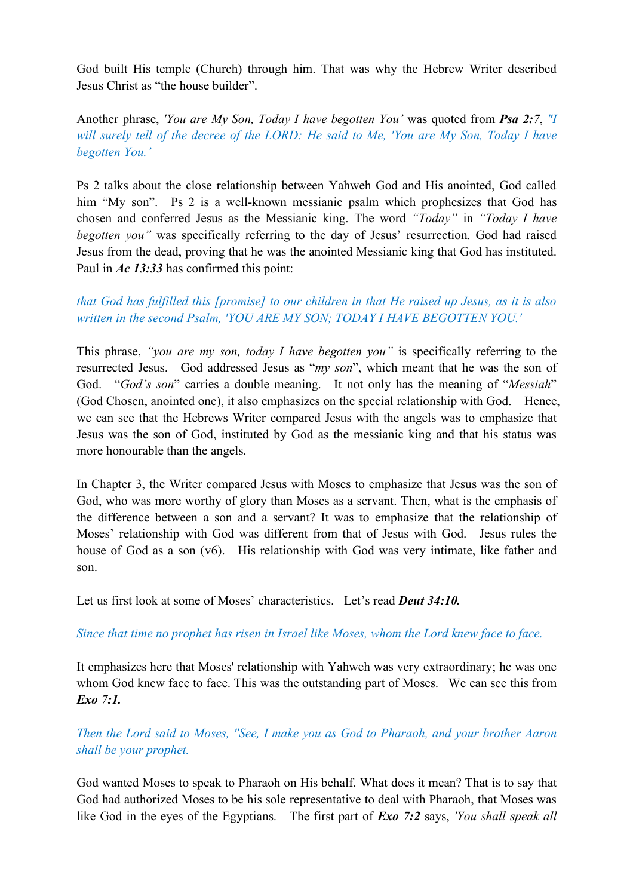God built His temple (Church) through him. That was why the Hebrew Writer described Jesus Christ as "the house builder".

Another phrase, *'You are My Son, Today I have begotten You'* was quoted from *Psa 2:7*, *"I will surely tell of the decree of the LORD: He said to Me, 'You are My Son, Today I have begotten You.'*

Ps 2 talks about the close relationship between Yahweh God and His anointed, God called him "My son". Ps 2 is a well-known messianic psalm which prophesizes that God has chosen and conferred Jesus as the Messianic king. The word *"Today"* in *"Today I have begotten you"* was specifically referring to the day of Jesus' resurrection. God had raised Jesus from the dead, proving that he was the anointed Messianic king that God has instituted. Paul in *Ac 13:33* has confirmed this point:

## *that God has fulfilled this [promise] to our children in that He raised up Jesus, as it is also written in the second Psalm, 'YOU ARE MY SON; TODAY I HAVE BEGOTTEN YOU.'*

This phrase, *"you are my son, today I have begotten you"* is specifically referring to the resurrected Jesus. God addressed Jesus as "*my son*", which meant that he was the son of God. "*God's son*" carries a double meaning. It not only has the meaning of "*Messiah*" (God Chosen, anointed one), it also emphasizes on the special relationship with God. Hence, we can see that the Hebrews Writer compared Jesus with the angels was to emphasize that Jesus was the son of God, instituted by God as the messianic king and that his status was more honourable than the angels.

In Chapter 3, the Writer compared Jesus with Moses to emphasize that Jesus was the son of God, who was more worthy of glory than Moses as a servant. Then, what is the emphasis of the difference between a son and a servant? It was to emphasize that the relationship of Moses' relationship with God was different from that of Jesus with God. Jesus rules the house of God as a son (v6). His relationship with God was very intimate, like father and son.

Let us first look at some of Moses' characteristics. Let's read *Deut 34:10.*

## *Since that time no prophet has risen in Israel like Moses, whom the Lord knew face to face.*

It emphasizes here that Moses' relationship with Yahweh was very extraordinary; he was one whom God knew face to face. This was the outstanding part of Moses. We can see this from *Exo 7:1.*

*Then the Lord said to Moses, "See, I make you as God to Pharaoh, and your brother Aaron shall be your prophet.*

God wanted Moses to speak to Pharaoh on His behalf. What does it mean? That is to say that God had authorized Moses to be his sole representative to deal with Pharaoh, that Moses was like God in the eyes of the Egyptians. The first part of *Exo 7:2* says, *'You shall speak all*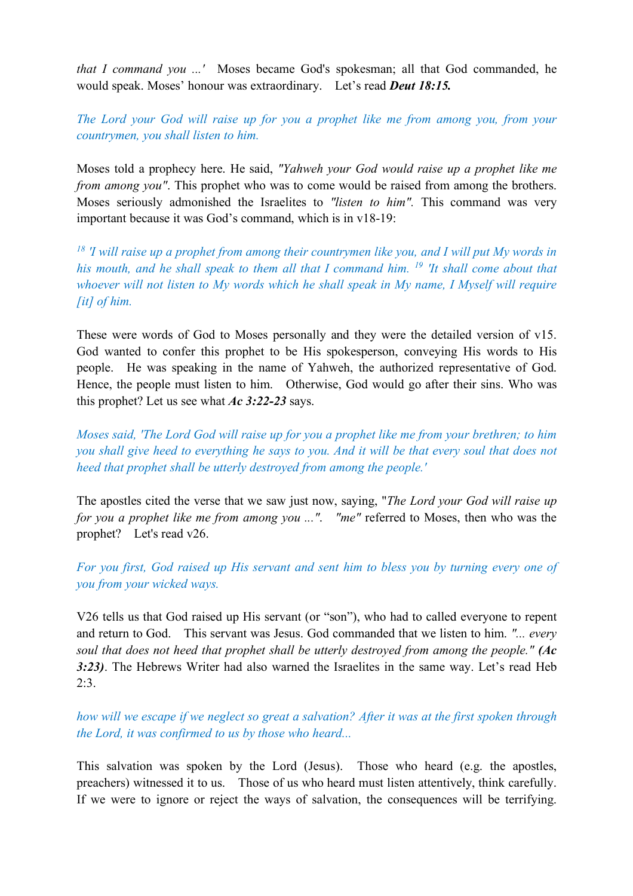*that I command you ...'* Moses became God's spokesman; all that God commanded, he would speak. Moses' honour was extraordinary. Let's read *Deut 18:15.*

*The Lord your God will raise up for you a prophet like me from among you, from your countrymen, you shall listen to him.*

Moses told a prophecy here. He said, *"Yahweh your God would raise up a prophet like me from among you"*. This prophet who was to come would be raised from among the brothers. Moses seriously admonished the Israelites to *"listen to him".* This command was very important because it was God's command, which is in v18-19:

*<sup>18</sup> 'I will raise up a prophet from among their countrymen like you, and I will put My words in his mouth, and he shall speak to them all that I command him. 19 'It shall come about that whoever will not listen to My words which he shall speak in My name, I Myself will require [it] of him.*

These were words of God to Moses personally and they were the detailed version of v15. God wanted to confer this prophet to be His spokesperson, conveying His words to His people. He was speaking in the name of Yahweh, the authorized representative of God. Hence, the people must listen to him. Otherwise, God would go after their sins. Who was this prophet? Let us see what *Ac 3:22-23* says.

*Moses said, 'The Lord God will raise up for you a prophet like me from your brethren; to him you shall give heed to everything he says to you. And it will be that every soul that does not heed that prophet shall be utterly destroyed from among the people.'*

The apostles cited the verse that we saw just now, saying, "*The Lord your God will raise up for you a prophet like me from among you ..."*. *"me"* referred to Moses, then who was the prophet? Let's read v26.

*For you first, God raised up His servant and sent him to bless you by turning every one of you from your wicked ways.*

V26 tells us that God raised up His servant (or "son"), who had to called everyone to repent and return to God. This servant was Jesus. God commanded that we listen to him. *"... every soul that does not heed that prophet shall be utterly destroyed from among the people." (Ac 3:23)*. The Hebrews Writer had also warned the Israelites in the same way. Let's read Heb  $2:3.$ 

*how will we escape if we neglect so great a salvation? After it was at the first spoken through the Lord, it was confirmed to us by those who heard...*

This salvation was spoken by the Lord (Jesus). Those who heard (e.g. the apostles, preachers) witnessed it to us. Those of us who heard must listen attentively, think carefully. If we were to ignore or reject the ways of salvation, the consequences will be terrifying.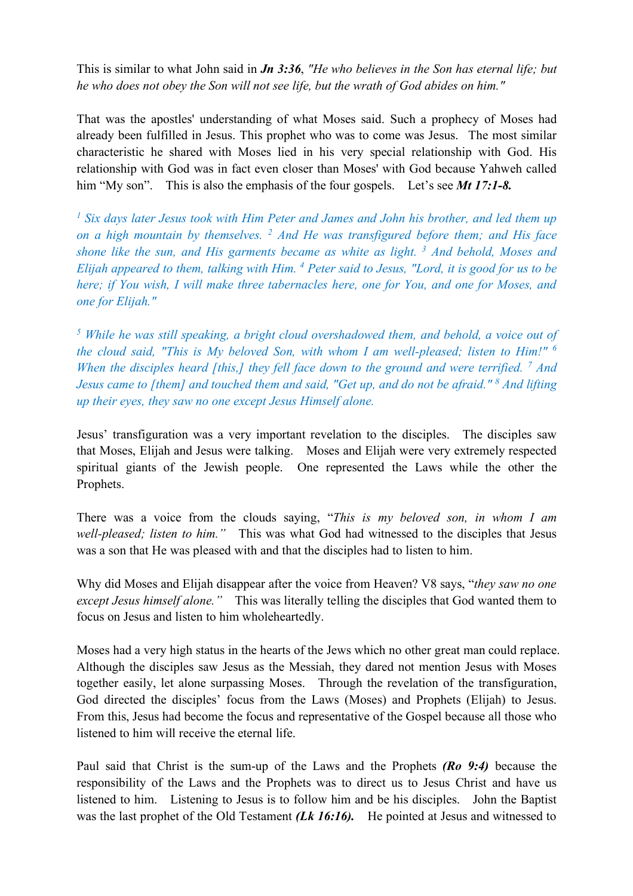This is similar to what John said in *Jn 3:36*, *"He who believes in the Son has eternal life; but he who does not obey the Son will not see life, but the wrath of God abides on him."* 

That was the apostles' understanding of what Moses said. Such a prophecy of Moses had already been fulfilled in Jesus. This prophet who was to come was Jesus. The most similar characteristic he shared with Moses lied in his very special relationship with God. His relationship with God was in fact even closer than Moses' with God because Yahweh called him "My son". This is also the emphasis of the four gospels. Let's see *Mt 17:1-8*.

*<sup>1</sup> Six days later Jesus took with Him Peter and James and John his brother, and led them up on a high mountain by themselves. 2 And He was transfigured before them; and His face shone like the sun, and His garments became as white as light. 3 And behold, Moses and Elijah appeared to them, talking with Him. 4 Peter said to Jesus, "Lord, it is good for us to be here; if You wish, I will make three tabernacles here, one for You, and one for Moses, and one for Elijah."* 

*<sup>5</sup> While he was still speaking, a bright cloud overshadowed them, and behold, a voice out of the cloud said, "This is My beloved Son, with whom I am well-pleased; listen to Him!" 6 When the disciples heard [this,] they fell face down to the ground and were terrified. 7 And Jesus came to [them] and touched them and said, "Get up, and do not be afraid." 8 And lifting up their eyes, they saw no one except Jesus Himself alone.*

Jesus' transfiguration was a very important revelation to the disciples. The disciples saw that Moses, Elijah and Jesus were talking. Moses and Elijah were very extremely respected spiritual giants of the Jewish people. One represented the Laws while the other the Prophets.

There was a voice from the clouds saying, "*This is my beloved son, in whom I am well-pleased; listen to him."* This was what God had witnessed to the disciples that Jesus was a son that He was pleased with and that the disciples had to listen to him.

Why did Moses and Elijah disappear after the voice from Heaven? V8 says, "*they saw no one except Jesus himself alone."* This was literally telling the disciples that God wanted them to focus on Jesus and listen to him wholeheartedly.

Moses had a very high status in the hearts of the Jews which no other great man could replace. Although the disciples saw Jesus as the Messiah, they dared not mention Jesus with Moses together easily, let alone surpassing Moses. Through the revelation of the transfiguration, God directed the disciples' focus from the Laws (Moses) and Prophets (Elijah) to Jesus. From this, Jesus had become the focus and representative of the Gospel because all those who listened to him will receive the eternal life.

Paul said that Christ is the sum-up of the Laws and the Prophets *(Ro 9:4)* because the responsibility of the Laws and the Prophets was to direct us to Jesus Christ and have us listened to him. Listening to Jesus is to follow him and be his disciples. John the Baptist was the last prophet of the Old Testament *(Lk 16:16)*. He pointed at Jesus and witnessed to